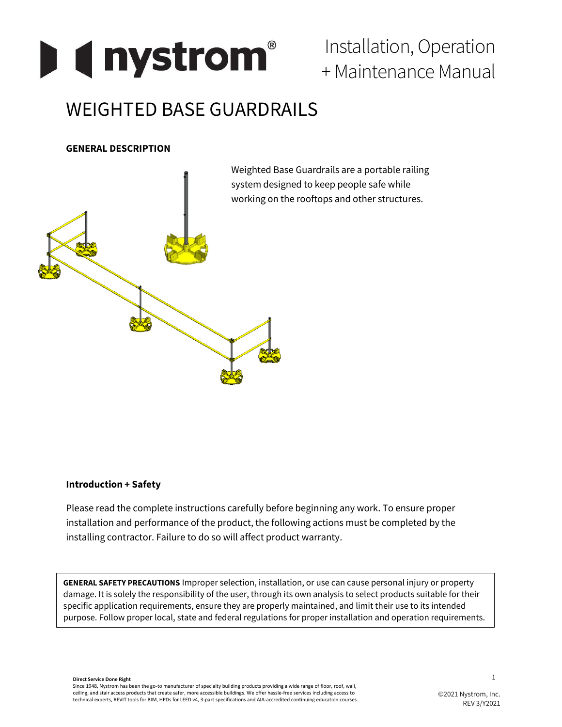

Installation, Operation + Maintenance Manual

# WEIGHTED BASE GUARDRAILS

## **GENERAL DESCRIPTION**



**Introduction + Safety**

Please read the complete instructions carefully before beginning any work. To ensure proper installation and performance of the product, the following actions must be completed by the installing contractor. Failure to do so will affect product warranty.

**GENERAL SAFETY PRECAUTIONS** Improper selection, installation, or use can cause personal injury or property damage. It is solely the responsibility of the user, through its own analysis to select products suitable for their specific application requirements, ensure they are properly maintained, and limit their use to its intended purpose. Follow proper local, state and federal regulations for proper installation and operation requirements.

**Direct Service Done Right** Since 1948, Nystrom has been the go-to manufacturer of specialty building products providing a wide range of floor, roof, wall, ceiling, and stair access products that create safer, more accessible buildings. We offer hassle-free services including access to technical experts, REVIT tools for BIM, HPDs for LEED v4, 3-part specifications and AIA-accredited continuing education courses.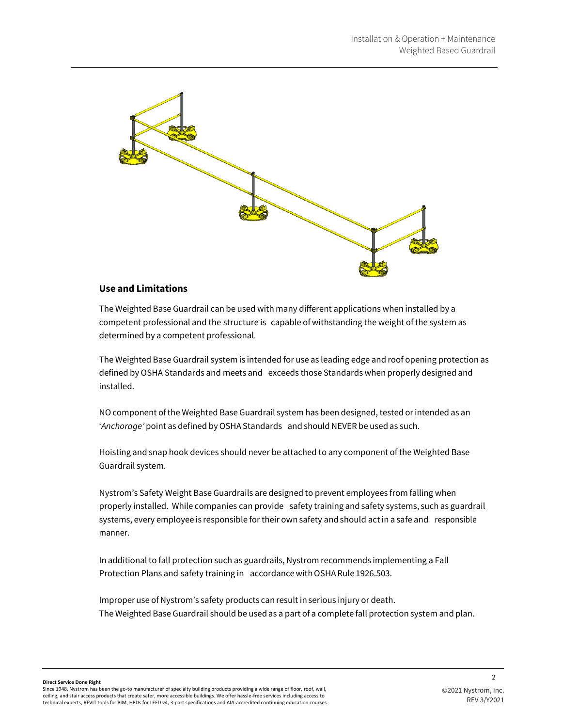

#### **Use and Limitations**

The Weighted Base Guardrail can be used with many different applications when installed by a competent professional and the structure is capable of withstanding the weight of the system as determined by a competent professional.

The Weighted Base Guardrail system is intended for use as leading edge and roof opening protection as defined by OSHA Standards and meets and exceeds those Standards when properly designed and installed.

NOcomponent ofthe Weighted Base Guardrail system has been designed, tested orintended as an '*Anchorage*' point as defined by OSHA Standards and should NEVER be used as such.

Hoisting and snap hook devices should never be attached to any component of the Weighted Base Guardrail system.

Nystrom's Safety Weight Base Guardrails are designed to prevent employees from falling when properly installed. While companies can provide safety training and safety systems, such as guardrail systems, every employee is responsible for their own safety and should actin a safe and responsible manner.

In additional to fall protection such as guardrails, Nystrom recommends implementing a Fall Protection Plans and safety training in accordancewithOSHA Rule 1926.503.

Improper use of Nystrom's safety products can result in serious injury or death. The Weighted Base Guardrail should be used as a part of a complete fall protection system and plan.

**Direct Service Done Right** Since 1948, Nystrom has been the go-to manufacturer of specialty building products providing a wide range of floor, roof, wall, ceiling, and stair access products that create safer, more accessible buildings. We offer hassle-free services including access to technical experts, REVIT tools for BIM, HPDs for LEED v4, 3-part specifications and AIA-accredited continuing education courses.  $\overline{2}$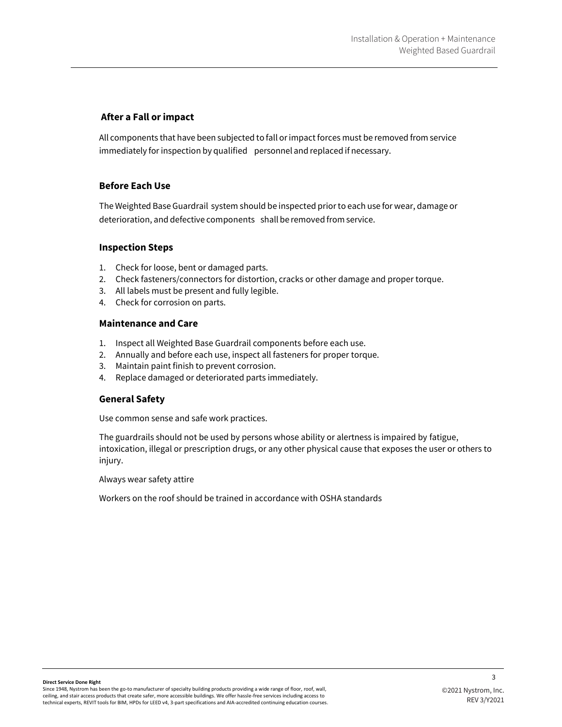#### **After a Fall or impact**

All components that have been subjected to fall orimpact forces must be removed from service immediately for inspection by qualified personnel and replaced if necessary.

#### **Before Each Use**

The Weighted Base Guardrail system should be inspected priorto each use for wear, damage or deterioration, and defective components shall be removed from service.

## **Inspection Steps**

- 1. Check for loose, bent or damaged parts.
- 2. Check fasteners/connectors for distortion, cracks or other damage and proper torque.
- 3. All labels must be present and fully legible.
- 4. Check for corrosion on parts.

## **Maintenance and Care**

- 1. Inspect all Weighted Base Guardrail components before each use.
- 2. Annually and before each use, inspect all fasteners for proper torque.
- 3. Maintain paint finish to prevent corrosion.
- 4. Replace damaged or deteriorated parts immediately.

#### **General Safety**

Use common sense and safe work practices.

The guardrails should not be used by persons whose ability or alertness is impaired by fatigue, intoxication, illegal or prescription drugs, or any other physical cause that exposes the user or others to injury.

Always wear safety attire

Workers on the roof should be trained in accordance with OSHA standards

3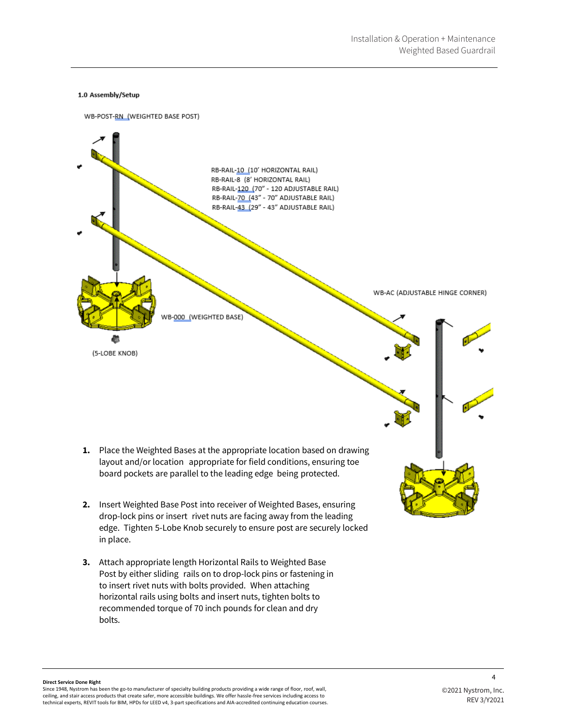#### 1.0 Assembly/Setup



- **2.** Insert Weighted Base Post into receiver of Weighted Bases, ensuring drop-lock pins or insert rivet nuts are facing away from the leading edge. Tighten 5-Lobe Knob securely to ensure post are securely locked in place.
- **3.** Attach appropriate length Horizontal Rails to Weighted Base Post by either sliding rails on to drop-lock pins or fastening in to insert rivet nuts with bolts provided. When attaching horizontal rails using bolts and insert nuts, tighten bolts to recommended torque of 70 inch pounds for clean and dry bolts.

 $\lambda$